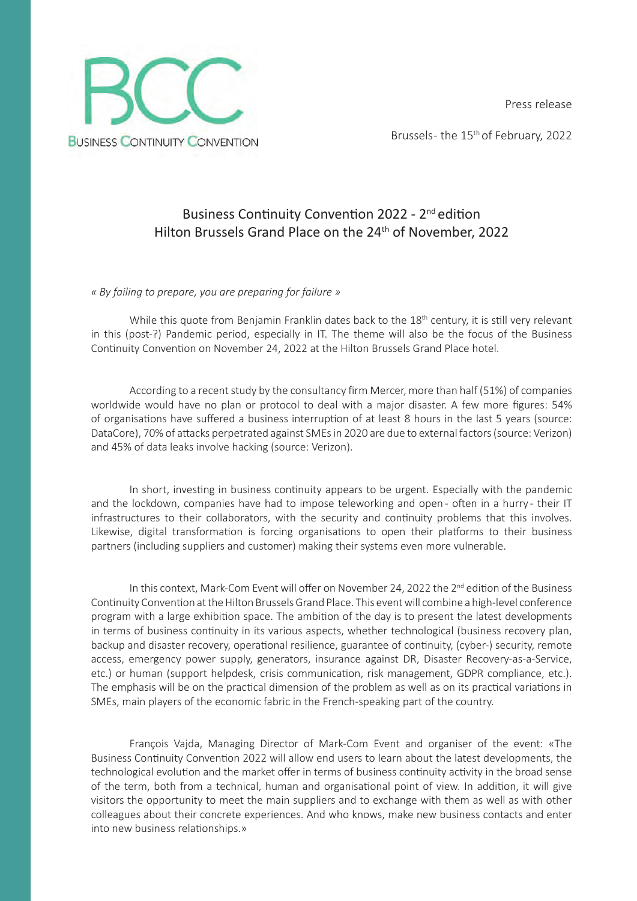Press release



Brussels- the 15<sup>th</sup> of February, 2022

# Business Continuity Convention 2022 - 2<sup>nd</sup> edition Hilton Brussels Grand Place on the 24<sup>th</sup> of November, 2022

*« By failing to prepare, you are preparing for failure »*

While this quote from Benjamin Franklin dates back to the 18<sup>th</sup> century, it is still very relevant in this (post-?) Pandemic period, especially in IT. The theme will also be the focus of the Business Continuity Convention on November 24, 2022 at the Hilton Brussels Grand Place hotel.

According to a recent study by the consultancy firm Mercer, more than half (51%) of companies worldwide would have no plan or protocol to deal with a major disaster. A few more figures: 54% of organisations have suffered a business interruption of at least 8 hours in the last 5 years (source: DataCore), 70% of attacks perpetrated against SMEs in 2020 are due to external factors (source: Verizon) and 45% of data leaks involve hacking (source: Verizon).

In short, investing in business continuity appears to be urgent. Especially with the pandemic and the lockdown, companies have had to impose teleworking and open- often in a hurry- their IT infrastructures to their collaborators, with the security and continuity problems that this involves. Likewise, digital transformation is forcing organisations to open their platforms to their business partners (including suppliers and customer) making their systems even more vulnerable.

In this context, Mark-Com Event will offer on November 24, 2022 the 2<sup>nd</sup> edition of the Business Continuity Convention at the Hilton Brussels Grand Place. This event will combine a high-level conference program with a large exhibition space. The ambition of the day is to present the latest developments in terms of business continuity in its various aspects, whether technological (business recovery plan, backup and disaster recovery, operational resilience, guarantee of continuity, (cyber-) security, remote access, emergency power supply, generators, insurance against DR, Disaster Recovery-as-a-Service, etc.) or human (support helpdesk, crisis communication, risk management, GDPR compliance, etc.). The emphasis will be on the practical dimension of the problem as well as on its practical variations in SMEs, main players of the economic fabric in the French-speaking part of the country.

François Vajda, Managing Director of Mark-Com Event and organiser of the event: «The Business Continuity Convention 2022 will allow end users to learn about the latest developments, the technological evolution and the market offer in terms of business continuity activity in the broad sense of the term, both from a technical, human and organisational point of view. In addition, it will give visitors the opportunity to meet the main suppliers and to exchange with them as well as with other colleagues about their concrete experiences. And who knows, make new business contacts and enter into new business relationships.»